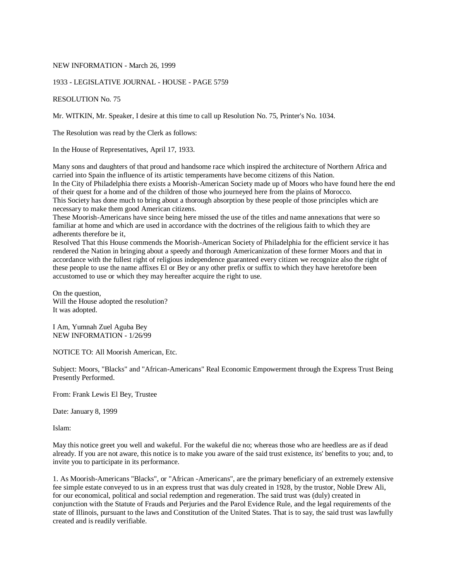### NEW INFORMATION - March 26, 1999

### 1933 - LEGISLATIVE JOURNAL - HOUSE - PAGE 5759

RESOLUTION No. 75

Mr. WITKIN, Mr. Speaker, I desire at this time to call up Resolution No. 75, Printer's No. 1034.

The Resolution was read by the Clerk as follows:

In the House of Representatives, April 17, 1933.

Many sons and daughters of that proud and handsome race which inspired the architecture of Northern Africa and carried into Spain the influence of its artistic temperaments have become citizens of this Nation. In the City of Philadelphia there exists a Moorish-American Society made up of Moors who have found here the end of their quest for a home and of the children of those who journeyed here from the plains of Morocco. This Society has done much to bring about a thorough absorption by these people of those principles which are necessary to make them good American citizens.

These Moorish-Americans have since being here missed the use of the titles and name annexations that were so familiar at home and which are used in accordance with the doctrines of the religious faith to which they are adherents therefore be it,

Resolved That this House commends the Moorish-American Society of Philadelphia for the efficient service it has rendered the Nation in bringing about a speedy and thorough Americanization of these former Moors and that in accordance with the fullest right of religious independence guaranteed every citizen we recognize also the right of these people to use the name affixes El or Bey or any other prefix or suffix to which they have heretofore been accustomed to use or which they may hereafter acquire the right to use.

On the question, Will the House adopted the resolution? It was adopted.

I Am, Yumnah Zuel Aguba Bey NEW INFORMATION - 1/26/99

NOTICE TO: All Moorish American, Etc.

Subject: Moors, "Blacks" and "African-Americans" Real Economic Empowerment through the Express Trust Being Presently Performed.

From: Frank Lewis El Bey, Trustee

Date: January 8, 1999

Islam:

May this notice greet you well and wakeful. For the wakeful die no; whereas those who are heedless are as if dead already. If you are not aware, this notice is to make you aware of the said trust existence, its' benefits to you; and, to invite you to participate in its performance.

1. As Moorish-Americans "Blacks", or "African -Americans", are the primary beneficiary of an extremely extensive fee simple estate conveyed to us in an express trust that was duly created in 1928, by the trustor, Noble Drew Ali, for our economical, political and social redemption and regeneration. The said trust was (duly) created in conjunction with the Statute of Frauds and Perjuries and the Parol Evidence Rule, and the legal requirements of the state of Illinois, pursuant to the laws and Constitution of the United States. That is to say, the said trust was lawfully created and is readily verifiable.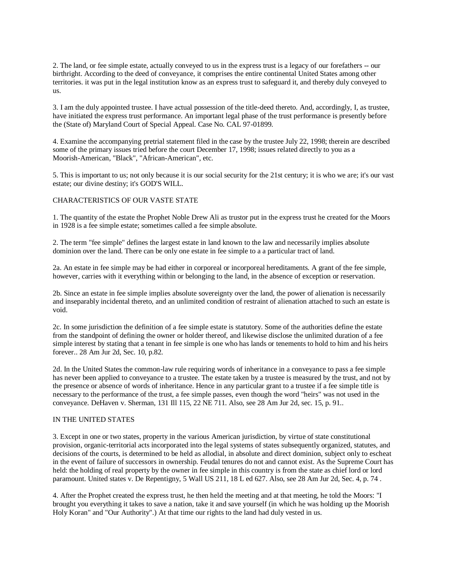2. The land, or fee simple estate, actually conveyed to us in the express trust is a legacy of our forefathers -- our birthright. According to the deed of conveyance, it comprises the entire continental United States among other territories. it was put in the legal institution know as an express trust to safeguard it, and thereby duly conveyed to us.

3. I am the duly appointed trustee. I have actual possession of the title-deed thereto. And, accordingly, I, as trustee, have initiated the express trust performance. An important legal phase of the trust performance is presently before the (State of) Maryland Court of Special Appeal. Case No. CAL 97-01899.

4. Examine the accompanying pretrial statement filed in the case by the trustee July 22, 1998; therein are described some of the primary issues tried before the court December 17, 1998; issues related directly to you as a Moorish-American, "Black", "African-American", etc.

5. This is important to us; not only because it is our social security for the 21st century; it is who we are; it's our vast estate; our divine destiny; it's GOD'S WILL.

## CHARACTERISTICS OF OUR VASTE STATE

1. The quantity of the estate the Prophet Noble Drew Ali as trustor put in the express trust he created for the Moors in 1928 is a fee simple estate; sometimes called a fee simple absolute.

2. The term "fee simple" defines the largest estate in land known to the law and necessarily implies absolute dominion over the land. There can be only one estate in fee simple to a a particular tract of land.

2a. An estate in fee simple may be had either in corporeal or incorporeal hereditaments. A grant of the fee simple, however, carries with it everything within or belonging to the land, in the absence of exception or reservation.

2b. Since an estate in fee simple implies absolute sovereignty over the land, the power of alienation is necessarily and inseparably incidental thereto, and an unlimited condition of restraint of alienation attached to such an estate is void.

2c. In some jurisdiction the definition of a fee simple estate is statutory. Some of the authorities define the estate from the standpoint of defining the owner or holder thereof, and likewise disclose the unlimited duration of a fee simple interest by stating that a tenant in fee simple is one who has lands or tenements to hold to him and his heirs forever.. 28 Am Jur 2d, Sec. 10, p.82.

2d. In the United States the common-law rule requiring words of inheritance in a conveyance to pass a fee simple has never been applied to conveyance to a trustee. The estate taken by a trustee is measured by the trust, and not by the presence or absence of words of inheritance. Hence in any particular grant to a trustee if a fee simple title is necessary to the performance of the trust, a fee simple passes, even though the word "heirs" was not used in the conveyance. DeHaven v. Sherman, 131 Ill 115, 22 NE 711. Also, see 28 Am Jur 2d, sec. 15, p. 91..

### IN THE UNITED STATES

3. Except in one or two states, property in the various American jurisdiction, by virtue of state constitutional provision, organic-territorial acts incorporated into the legal systems of states subsequently organized, statutes, and decisions of the courts, is determined to be held as allodial, in absolute and direct dominion, subject only to escheat in the event of failure of successors in ownership. Feudal tenures do not and cannot exist. As the Supreme Court has held: the holding of real property by the owner in fee simple in this country is from the state as chief lord or lord paramount. United states v. De Repentigny, 5 Wall US 211, 18 L ed 627. Also, see 28 Am Jur 2d, Sec. 4, p. 74 .

4. After the Prophet created the express trust, he then held the meeting and at that meeting, he told the Moors: "I brought you everything it takes to save a nation, take it and save yourself (in which he was holding up the Moorish Holy Koran" and "Our Authority".) At that time our rights to the land had duly vested in us.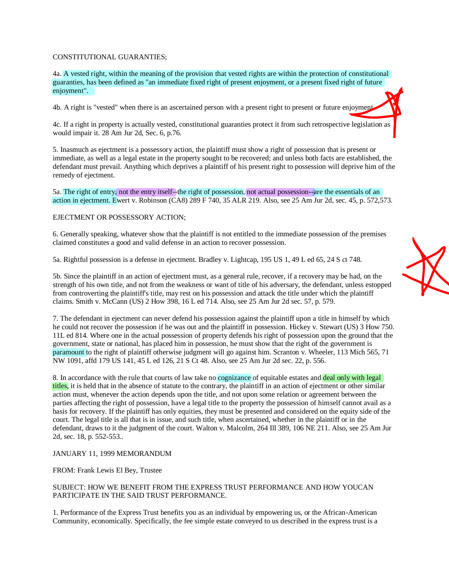# CONSTITUTIONAL GUARANTIES;

4a. A vested right, within the meaning of the provision that vested rights are within the protection of constitutional guaranties, has been defined as "an immediate fixed right of present enjoyment, or a present fixed right of future enjoyment".

4b. A right is "vested" when there is an ascertained person with a present right to present or future enjoyment.

4c. If a right in property is actually vested, constitutional guaranties protect it from such retrospective legislation as would impair it. 28 Am Jur 2d, Sec. 6, p.76.

5. Inasmuch as ejectment is a possessory action, the plaintiff must show a right of possession that is present or immediate, as well as a legal estate in the property sought to be recovered; and unless both facts are established, the defendant must prevail. Anything which deprives a plaintiff of his present right to possession will deprive him of the remedy of ejectment.

5a. The right of entry, not the entry itself--the right of possession, not actual possession--are the essentials of an action in ejectment. Ewert v. Robinson (CA8) 289 F 740, 35 ALR 219. Also, see 25 Am Jur 2d, sec. 45, p. 572,573.

# EJECTMENT OR POSSESSORY ACTION;

6. Generally speaking, whatever show that the plaintiff is not entitled to the immediate possession of the premises claimed constitutes a good and valid defense in an action to recover possession.

5a. Rightful possession is a defense in ejectment. Bradley v. Lightcap, 195 US 1, 49 L ed 65, 24 S ct 748.

5b. Since the plaintiff in an action of ejectment must, as a general rule, recover, if a recovery may be had, on the strength of his own title, and not from the weakness or want of title of his adversary, the defendant, unless estopped from controverting the plaintiff's title, may rest on his possession and attack the title under which the plaintiff claims. Smith v. McCann (US) 2 How 398, 16 L ed 714. Also, see 25 Am Jur 2d sec. 57, p. 579.

7. The defendant in ejectment can never defend his possession against the plaintiff upon a title in himself by which he could not recover the possession if he was out and the plaintiff in possession. Hickey v. Stewart (US) 3 How 750. 11L ed 814. Where one in the actual possession of property defends his right of possession upon the ground that the government, state or national, has placed him in possession, he must show that the right of the government is paramount to the right of plaintiff otherwise judgment will go against him. Scranton v. Wheeler, 113 Mich 565, 71 NW 1091, affd 179 US 141, 45 L ed 126, 21 S Ct 48. Also, see 25 Am Jur 2d sec. 22, p. 556.

8. In accordance with the rule that courts of law take no cognizance of equitable estates and deal only with legal titles, it is held that in the absence of statute to the contrary, the plaintiff in an action of ejectment or other similar action must, whenever the action depends upon the title, and not upon some relation or agreement between the parties affecting the right of possession, have a legal title to the property the possession of himself cannot avail as a basis for recovery. If the plaintiff has only equities, they must be presented and considered on the equity side of the court. The legal title is all that is in issue, and such title, when ascertained, whether in the plaintiff or in the defendant, draws to it the judgment of the court. Walton v. Malcolm, 264 Ill 389, 106 NE 211. Also, see 25 Am Jur 2d, sec. 18, p. 552-553..

### JANUARY 11, 1999 MEMORANDUM

FROM: Frank Lewis El Bey, Trustee

## SUBJECT: HOW WE BENEFIT FROM THE EXPRESS TRUST PERFORMANCE AND HOW YOUCAN PARTICIPATE IN THE SAID TRUST PERFORMANCE.

1. Performance of the Express Trust benefits you as an individual by empowering us, or the African-American Community, economically. Specifically, the fee simple estate conveyed to us described in the express trust is a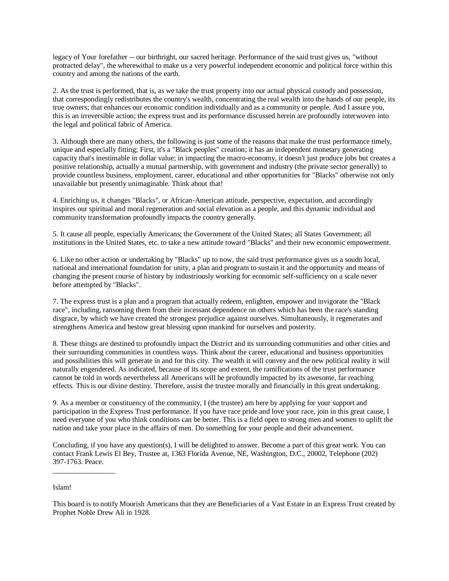legacy of Your forefather -- our birthright, our sacred heritage. Performance of the said trust gives us, "without protracted delay", the wherewithal to make us a very powerful independent economic and political force within this country and among the nations of the earth.

2. As the trust is performed, that is, as we take the trust property into our actual physical custody and possession, that correspondingly redistributes the country's wealth, concentrating the real wealth into the hands of our people, its true owners; that enhances our economic condition individually and as a community or people. And I assure you, this is an irreversible action; the express trust and its performance discussed herein are profoundly interwoven into the legal and political fabric of America.

3. Although there are many others, the following is just some of the reasons that make the trust performance timely, unique and especially fitting; First, it's a "Black peoples" creation; it has an independent monetary generating capacity that's inestimable in dollar value; in impacting the macro-economy, it doesn't just produce jobs but creates a positive relationship, actually a mutual partnership, with government and industry (the private sector generally) to provide countless business, employment, career, educational and other opportunities for "Blacks" otherwise not only unavailable but presently unimaginable. Think about that!

4. Enriching us, it changes "Blacks", or African-American attitude, perspective, expectation, and accordingly inspires our spiritual and moral regeneration and social elevation as a people, and this dynamic individual and community transformation profoundly impacts the country generally.

5. It cause all people, especially Americans; the Government of the United States; all States Government; all institutions in the United States, etc. to take a new attitude toward "Blacks" and their new economic empowerment.

6. Like no other action or undertaking by "Blacks" up to now, the said trust performance gives us a soudn local, national and international foundation for unity, a plan and program to sustain it and the opportunity and means of changing the present course of history by industriously working for economic self-sufficiency on a scale never before attempted by "Blacks".

7. The express trust is a plan and a program that actually redeem, enlighten, empower and invigorate the "Black race", including, ransoming them from their incessant dependence on others which has been the race's standing disgrace, by which we have created the strongest prejudice against ourselves. Simultaneously, it regenerates and strengthens America and bestow great blessing upon mankind for ourselves and posterity.

8. These things are destined to profoundly impact the District and its surrounding communities and other cities and their surrounding communities in countless ways. Think about the career, educational and business opportunities and possibilities this will generate in and for this city. The wealth it will convey and the new political reality it will naturally engendered. As indicated, because of its scope and extent, the ramifications of the trust performance cannot be told in words nevertheless all Americans will be profoundly impacted by its awesome, far reaching effects. This is our divine destiny. Therefore, assist the trustee morally and financially in this great undertaking.

9. As a member or constituency of the community, I (the trustee) am here by applying for your support and participation in the Express Trust performance. If you have race pride and love your race, join in this great cause, I need everyone of you who think conditions can be better. This is a field open to strong men and women to uplift the nation and take your place in the affairs of men. Do something for your people and their advancement.

Concluding, if you have any question(s), I will be delighted to answer. Become a part of this great work. You can contact Frank Lewis El Bey, Trustee at, 1363 Florida Avenue, NE, Washington, D.C., 20002, Telephone (202) 397-1763. Peace.

Islam!

\_\_\_\_\_\_\_\_\_\_\_\_\_\_\_\_\_

This board is to notify Moorish Americans that they are Beneficiaries of a Vast Estate in an Express Trust created by Prophet Noble Drew Ali in 1928.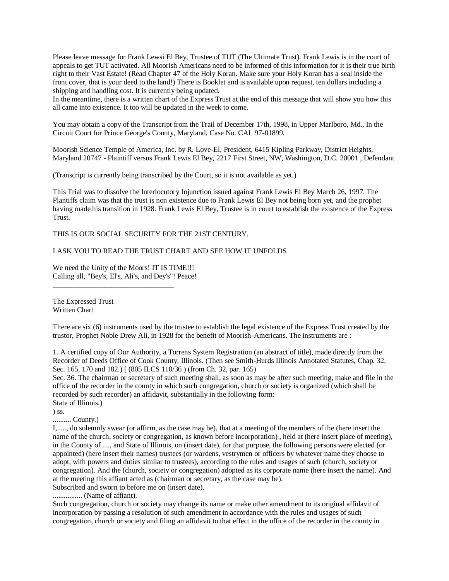Please leave message for Frank Lewsi El Bey, Trustee of TUT (The Ultimate Trust). Frank Lewis is in the court of appeals to get TUT activated. All Moorish Americans need to be informed of this information for it is their true birth right to their Vast Estate! (Read Chapter 47 of the Holy Koran. Make sure your Holy Koran has a seal inside the front cover, that is your deed to the land!) There is Booklet and is available upon request, ten dollars including a shipping and handling cost. It is currently being updated.

In the meantime, there is a written chart of the Express Trust at the end of this message that will show you how this all came into existence. It too will be updated in the week to come.

You may obtain a copy of the Transcript from the Trail of December 17th, 1998, in Upper Marlboro, Md., In the Circuit Court for Prince George's County, Maryland, Case No. CAL 97-01899.

Moorish Science Temple of America, Inc. by R. Love-El, President, 6415 Kipling Parkway, District Heights, Maryland 20747 - Plaintiff versus Frank Lewis El Bey, 2217 First Street, NW, Washington, D.C. 20001 , Defendant

(Transcript is currently being transcribed by the Court, so it is not available as yet.)

This Trial was to dissolve the Interlocutory Injunction issued against Frank Lewis El Bey March 26, 1997. The Plantiffs claim was that the trust is non existence due to Frank Lewis El Bey not being born yet, and the prophet having made his transition in 1928. Frank Lewis El Bey, Trustee is in court to establish the existence of the Express Trust.

THIS IS OUR SOCIAL SECURITY FOR THE 21ST CENTURY.

I ASK YOU TO READ THE TRUST CHART AND SEE HOW IT UNFOLDS

We need the Unity of the Moors! IT IS TIME!!! Calling all, "Bey's, El's, Ali's, and Dey's"! Peace!

\_\_\_\_\_\_\_\_\_\_\_\_\_\_\_\_\_\_\_\_\_\_\_\_\_\_\_\_\_\_\_\_\_

The Expressed Trust Written Chart

There are six (6) instruments used by the trustee to establish the legal existence of the Express Trust created by the trustor, Prophet Noble Drew Ali, in 1928 for the benefit of Moorish-Americans. The instruments are :

1. A certified copy of Our Authority, a Torrens System Registration (an abstract of title), made directly from the Recorder of Deeds Office of Cook County, Illinois. (Then see Smith-Hurds Illinois Annotated Statutes, Chap. 32, Sec. 165, 170 and 182.) [ (805 ILCS 110/36 ) (from Ch. 32, par. 165)

Sec. 36. The chairman or secretary of such meeting shall, as soon as may be after such meeting, make and file in the office of the recorder in the county in which such congregation, church or society is organized (which shall be recorded by such recorder) an affidavit, substantially in the following form: State of Illinois,)

) ss.

.......... County.)

I, ...., do solemnly swear (or affirm, as the case may be), that at a meeting of the members of the (here insert the name of the church, society or congregation, as known before incorporation) , held at (here insert place of meeting), in the County of ...., and State of Illinois, on (insert date), for that purpose, the following persons were elected (or appointed) (here insert their names) trustees (or wardens, vestrymen or officers by whatever name they choose to adopt, with powers and duties similar to trustees), according to the rules and usages of such (church, society or congregation). And the (church, society or congregation) adopted as its corporate name (here insert the name). And at the meeting this affiant acted as (chairman or secretary, as the case may be).

Subscribed and sworn to before me on (insert date).

................ (Name of affiant).

Such congregation, church or society may change its name or make other amendment to its original affidavit of incorporation by passing a resolution of such amendment in accordance with the rules and usages of such congregation, church or society and filing an affidavit to that effect in the office of the recorder in the county in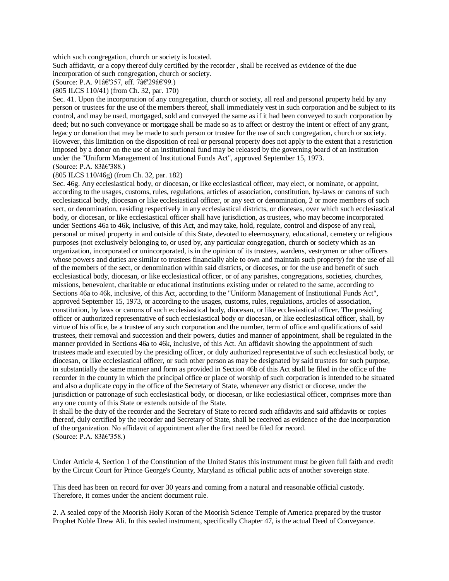which such congregation, church or society is located.

Such affidavit, or a copy thereof duly certified by the recorder , shall be received as evidence of the due incorporation of such congregation, church or society.

(Source: P.A. 91â€'357, eff. 7â€'29â€'99.)

(805 ILCS 110/41) (from Ch. 32, par. 170)

Sec. 41. Upon the incorporation of any congregation, church or society, all real and personal property held by any person or trustees for the use of the members thereof, shall immediately vest in such corporation and be subject to its control, and may be used, mortgaged, sold and conveyed the same as if it had been conveyed to such corporation by deed; but no such conveyance or mortgage shall be made so as to affect or destroy the intent or effect of any grant, legacy or donation that may be made to such person or trustee for the use of such congregation, church or society. However, this limitation on the disposition of real or personal property does not apply to the extent that a restriction imposed by a donor on the use of an institutional fund may be released by the governing board of an institution under the "Uniform Management of Institutional Funds Act", approved September 15, 1973. (Source: P.A. 83â€'388.)

#### (805 ILCS 110/46g) (from Ch. 32, par. 182)

Sec. 46g. Any ecclesiastical body, or diocesan, or like ecclesiastical officer, may elect, or nominate, or appoint, according to the usages, customs, rules, regulations, articles of association, constitution, by-laws or canons of such ecclesiastical body, diocesan or like ecclesiastical officer, or any sect or denomination, 2 or more members of such sect, or denomination, residing respectively in any ecclesiastical districts, or dioceses, over which such ecclesiastical body, or diocesan, or like ecclesiastical officer shall have jurisdiction, as trustees, who may become incorporated under Sections 46a to 46k, inclusive, of this Act, and may take, hold, regulate, control and dispose of any real, personal or mixed property in and outside of this State, devoted to eleemosynary, educational, cemetery or religious purposes (not exclusively belonging to, or used by, any particular congregation, church or society which as an organization, incorporated or unincorporated, is in the opinion of its trustees, wardens, vestrymen or other officers whose powers and duties are similar to trustees financially able to own and maintain such property) for the use of all of the members of the sect, or denomination within said districts, or dioceses, or for the use and benefit of such ecclesiastical body, diocesan, or like ecclesiastical officer, or of any parishes, congregations, societies, churches, missions, benevolent, charitable or educational institutions existing under or related to the same, according to Sections 46a to 46k, inclusive, of this Act, according to the "Uniform Management of Institutional Funds Act", approved September 15, 1973, or according to the usages, customs, rules, regulations, articles of association, constitution, by laws or canons of such ecclesiastical body, diocesan, or like ecclesiastical officer. The presiding officer or authorized representative of such ecclesiastical body or diocesan, or like ecclesiastical officer, shall, by virtue of his office, be a trustee of any such corporation and the number, term of office and qualifications of said trustees, their removal and succession and their powers, duties and manner of appointment, shall be regulated in the manner provided in Sections 46a to 46k, inclusive, of this Act. An affidavit showing the appointment of such trustees made and executed by the presiding officer, or duly authorized representative of such ecclesiastical body, or diocesan, or like ecclesiastical officer, or such other person as may be designated by said trustees for such purpose, in substantially the same manner and form as provided in Section 46b of this Act shall be filed in the office of the recorder in the county in which the principal office or place of worship of such corporation is intended to be situated and also a duplicate copy in the office of the Secretary of State, whenever any district or diocese, under the jurisdiction or patronage of such ecclesiastical body, or diocesan, or like ecclesiastical officer, comprises more than any one county of this State or extends outside of the State.

It shall be the duty of the recorder and the Secretary of State to record such affidavits and said affidavits or copies thereof, duly certified by the recorder and Secretary of State, shall be received as evidence of the due incorporation of the organization. No affidavit of appointment after the first need be filed for record. (Source: P.A. 83â€'358.)

Under Article 4, Section 1 of the Constitution of the United States this instrument must be given full faith and credit by the Circuit Court for Prince George's County, Maryland as official public acts of another sovereign state.

This deed has been on record for over 30 years and coming from a natural and reasonable official custody. Therefore, it comes under the ancient document rule.

2. A sealed copy of the Moorish Holy Koran of the Moorish Science Temple of America prepared by the trustor Prophet Noble Drew Ali. In this sealed instrument, specifically Chapter 47, is the actual Deed of Conveyance.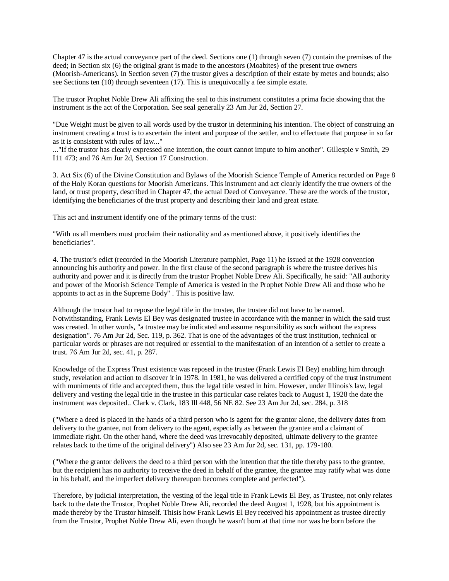Chapter 47 is the actual conveyance part of the deed. Sections one (1) through seven (7) contain the premises of the deed; in Section six (6) the original grant is made to the ancestors (Moabites) of the present true owners (Moorish-Americans). In Section seven (7) the trustor gives a description of their estate by metes and bounds; also see Sections ten (10) through seventeen (17). This is unequivocally a fee simple estate.

The trustor Prophet Noble Drew Ali affixing the seal to this instrument constitutes a prima facie showing that the instrument is the act of the Corporation. See seal generally 23 Am Jur 2d, Section 27.

"Due Weight must be given to all words used by the trustor in determining his intention. The object of construing an instrument creating a trust is to ascertain the intent and purpose of the settler, and to effectuate that purpose in so far as it is consistent with rules of law..."

..."If the trustor has clearly expressed one intention, the court cannot impute to him another". Gillespie v Smith, 29 I11 473; and 76 Am Jur 2d, Section 17 Construction.

3. Act Six (6) of the Divine Constitution and Bylaws of the Moorish Science Temple of America recorded on Page 8 of the Holy Koran questions for Moorish Americans. This instrument and act clearly identify the true owners of the land, or trust property, described in Chapter 47, the actual Deed of Conveyance. These are the words of the trustor, identifying the beneficiaries of the trust property and describing their land and great estate.

This act and instrument identify one of the primary terms of the trust:

"With us all members must proclaim their nationality and as mentioned above, it positively identifies the beneficiaries".

4. The trustor's edict (recorded in the Moorish Literature pamphlet, Page 11) he issued at the 1928 convention announcing his authority and power. In the first clause of the second paragraph is where the trustee derives his authority and power and it is directly from the trustor Prophet Noble Drew Ali. Specifically, he said: "All authority and power of the Moorish Science Temple of America is vested in the Prophet Noble Drew Ali and those who he appoints to act as in the Supreme Body" . This is positive law.

Although the trustor had to repose the legal title in the trustee, the trustee did not have to be named. Notwithstanding, Frank Lewis El Bey was designated trustee in accordance with the manner in which the said trust was created. In other words, "a trustee may be indicated and assume responsibility as such without the express designation". 76 Am Jur 2d, Sec. 119, p. 362. That is one of the advantages of the trust institution, technical or particular words or phrases are not required or essential to the manifestation of an intention of a settler to create a trust. 76 Am Jur 2d, sec. 41, p. 287.

Knowledge of the Express Trust existence was reposed in the trustee (Frank Lewis El Bey) enabling him through study, revelation and action to discover it in 1978. In 1981, he was delivered a certified copy of the trust instrument with muniments of title and accepted them, thus the legal title vested in him. However, under Illinois's law, legal delivery and vesting the legal title in the trustee in this particular case relates back to August 1, 1928 the date the instrument was deposited.. Clark v. Clark, 183 Ill 448, 56 NE 82. See 23 Am Jur 2d, sec. 284, p. 318

("Where a deed is placed in the hands of a third person who is agent for the grantor alone, the delivery dates from delivery to the grantee, not from delivery to the agent, especially as between the grantee and a claimant of immediate right. On the other hand, where the deed was irrevocably deposited, ultimate delivery to the grantee relates back to the time of the original delivery") Also see 23 Am Jur 2d, sec. 131, pp. 179-180.

("Where the grantor delivers the deed to a third person with the intention that the title thereby pass to the grantee, but the recipient has no authority to receive the deed in behalf of the grantee, the grantee may ratify what was done in his behalf, and the imperfect delivery thereupon becomes complete and perfected").

Therefore, by judicial interpretation, the vesting of the legal title in Frank Lewis El Bey, as Trustee, not only relates back to the date the Trustor, Prophet Noble Drew Ali, recorded the deed August 1, 1928, but his appointment is made thereby by the Trustor himself. Thisis how Frank Lewis El Bey received his appointment as trustee directly from the Trustor, Prophet Noble Drew Ali, even though he wasn't born at that time nor was he born before the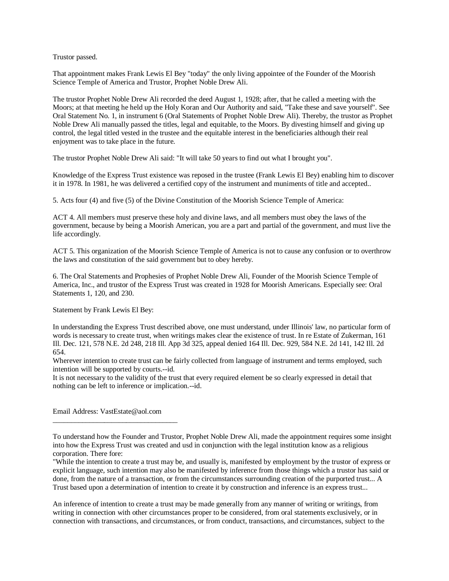Trustor passed.

That appointment makes Frank Lewis El Bey "today" the only living appointee of the Founder of the Moorish Science Temple of America and Trustor, Prophet Noble Drew Ali.

The trustor Prophet Noble Drew Ali recorded the deed August 1, 1928; after, that he called a meeting with the Moors; at that meeting he held up the Holy Koran and Our Authority and said, "Take these and save yourself". See Oral Statement No. 1, in instrument 6 (Oral Statements of Prophet Noble Drew Ali). Thereby, the trustor as Prophet Noble Drew Ali manually passed the titles, legal and equitable, to the Moors. By divesting himself and giving up control, the legal titled vested in the trustee and the equitable interest in the beneficiaries although their real enjoyment was to take place in the future.

The trustor Prophet Noble Drew Ali said: "It will take 50 years to find out what I brought you".

Knowledge of the Express Trust existence was reposed in the trustee (Frank Lewis El Bey) enabling him to discover it in 1978. In 1981, he was delivered a certified copy of the instrument and muniments of title and accepted..

5. Acts four (4) and five (5) of the Divine Constitution of the Moorish Science Temple of America:

ACT 4. All members must preserve these holy and divine laws, and all members must obey the laws of the government, because by being a Moorish American, you are a part and partial of the government, and must live the life accordingly.

ACT 5. This organization of the Moorish Science Temple of America is not to cause any confusion or to overthrow the laws and constitution of the said government but to obey hereby.

6. The Oral Statements and Prophesies of Prophet Noble Drew Ali, Founder of the Moorish Science Temple of America, Inc., and trustor of the Express Trust was created in 1928 for Moorish Americans. Especially see: Oral Statements 1, 120, and 230.

Statement by Frank Lewis El Bey:

In understanding the Express Trust described above, one must understand, under Illinois' law, no particular form of words is necessary to create trust, when writings makes clear the existence of trust. In re Estate of Zukerman, 161 Ill. Dec. 121, 578 N.E. 2d 248, 218 Ill. App 3d 325, appeal denied 164 Ill. Dec. 929, 584 N.E. 2d 141, 142 Ill. 2d 654.

Wherever intention to create trust can be fairly collected from language of instrument and terms employed, such intention will be supported by courts.--id.

It is not necessary to the validity of the trust that every required element be so clearly expressed in detail that nothing can be left to inference or implication.--id.

Email Address: VastEstate@aol.com

\_\_\_\_\_\_\_\_\_\_\_\_\_\_\_\_\_\_\_\_\_\_\_\_\_\_\_\_\_\_\_\_\_\_

To understand how the Founder and Trustor, Prophet Noble Drew Ali, made the appointment requires some insight into how the Express Trust was created and usd in conjunction with the legal institution know as a religious corporation. There fore:

"While the intention to create a trust may be, and usually is, manifested by employment by the trustor of express or explicit language, such intention may also be manifested by inference from those things which a trustor has said or done, from the nature of a transaction, or from the circumstances surrounding creation of the purported trust... A Trust based upon a determination of intention to create it by construction and inference is an express trust...

An inference of intention to create a trust may be made generally from any manner of writing or writings, from writing in connection with other circumstances proper to be considered, from oral statements exclusively, or in connection with transactions, and circumstances, or from conduct, transactions, and circumstances, subject to the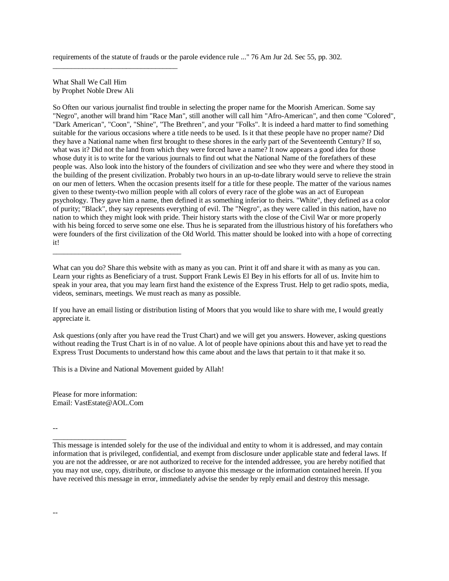requirements of the statute of frauds or the parole evidence rule ..." 76 Am Jur 2d. Sec 55, pp. 302.

What Shall We Call Him by Prophet Noble Drew Ali

\_\_\_\_\_\_\_\_\_\_\_\_\_\_\_\_\_\_\_\_\_\_\_\_\_\_\_\_\_\_\_\_\_\_

\_\_\_\_\_\_\_\_\_\_\_\_\_\_\_\_\_\_\_\_\_\_\_\_\_\_\_\_\_\_\_\_\_\_\_

So Often our various journalist find trouble in selecting the proper name for the Moorish American. Some say "Negro", another will brand him "Race Man", still another will call him "Afro-American", and then come "Colored", "Dark American", "Coon", "Shine", "The Brethren", and your "Folks". It is indeed a hard matter to find something suitable for the various occasions where a title needs to be used. Is it that these people have no proper name? Did they have a National name when first brought to these shores in the early part of the Seventeenth Century? If so, what was it? Did not the land from which they were forced have a name? It now appears a good idea for those whose duty it is to write for the various journals to find out what the National Name of the forefathers of these people was. Also look into the history of the founders of civilization and see who they were and where they stood in the building of the present civilization. Probably two hours in an up-to-date library would serve to relieve the strain on our men of letters. When the occasion presents itself for a title for these people. The matter of the various names given to these twenty-two million people with all colors of every race of the globe was an act of European psychology. They gave him a name, then defined it as something inferior to theirs. "White", they defined as a color of purity; "Black", they say represents everything of evil. The "Negro", as they were called in this nation, have no nation to which they might look with pride. Their history starts with the close of the Civil War or more properly with his being forced to serve some one else. Thus he is separated from the illustrious history of his forefathers who were founders of the first civilization of the Old World. This matter should be looked into with a hope of correcting it!

What can you do? Share this website with as many as you can. Print it off and share it with as many as you can. Learn your rights as Beneficiary of a trust. Support Frank Lewis El Bey in his efforts for all of us. Invite him to speak in your area, that you may learn first hand the existence of the Express Trust. Help to get radio spots, media, videos, seminars, meetings. We must reach as many as possible.

If you have an email listing or distribution listing of Moors that you would like to share with me, I would greatly appreciate it.

Ask questions (only after you have read the Trust Chart) and we will get you answers. However, asking questions without reading the Trust Chart is in of no value. A lot of people have opinions about this and have yet to read the Express Trust Documents to understand how this came about and the laws that pertain to it that make it so.

This is a Divine and National Movement guided by Allah!

Please for more information: Email: VastEstate@AOL.Com

\_\_\_\_\_\_\_\_\_\_\_\_\_\_\_\_\_\_\_\_

--

This message is intended solely for the use of the individual and entity to whom it is addressed, and may contain information that is privileged, confidential, and exempt from disclosure under applicable state and federal laws. If you are not the addressee, or are not authorized to receive for the intended addressee, you are hereby notified that you may not use, copy, distribute, or disclose to anyone this message or the information contained herein. If you have received this message in error, immediately advise the sender by reply email and destroy this message.